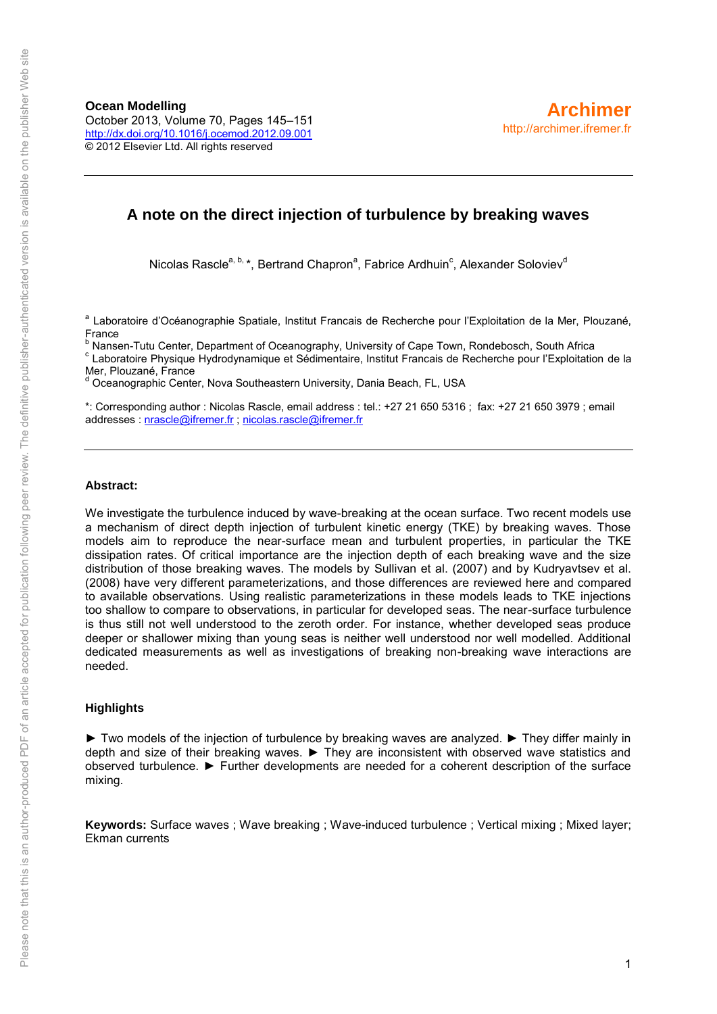# **A note on the direct injection of turbulence by breaking waves**

Nicolas Rascle<sup>a, b,</sup> \*, Bertrand Chapron<sup>a</sup>, Fabrice Ardhuin<sup>c</sup>, Alexander Soloviev<sup>d</sup>

<sup>a</sup> Laboratoire d'Océanographie Spatiale, Institut Francais de Recherche pour l'Exploitation de la Mer, Plouzané, France<br><sup>b</sup> Nance

Nansen-Tutu Center, Department of Oceanography, University of Cape Town, Rondebosch, South Africa

c Laboratoire Physique Hydrodynamique et Sédimentaire, Institut Francais de Recherche pour l'Exploitation de la Mer, Plouzané, France

<sup>d</sup> Oceanographic Center, Nova Southeastern University, Dania Beach, FL, USA

\*: Corresponding author : Nicolas Rascle, email address : tel.: +27 21 650 5316 ; fax: +27 21 650 3979 ; email addresses : [nrascle@ifremer.fr](mailto:nrascle@ifremer.fr) [; nicolas.rascle@ifremer.fr](mailto:nicolas.rascle@ifremer.fr)

## **Abstract:**

We investigate the turbulence induced by wave-breaking at the ocean surface. Two recent models use a mechanism of direct depth injection of turbulent kinetic energy (TKE) by breaking waves. Those models aim to reproduce the near-surface mean and turbulent properties, in particular the TKE dissipation rates. Of critical importance are the injection depth of each breaking wave and the size distribution of those breaking waves. The models by Sullivan et al. (2007) and by Kudryavtsev et al. (2008) have very different parameterizations, and those differences are reviewed here and compared to available observations. Using realistic parameterizations in these models leads to TKE injections too shallow to compare to observations, in particular for developed seas. The near-surface turbulence is thus still not well understood to the zeroth order. For instance, whether developed seas produce deeper or shallower mixing than young seas is neither well understood nor well modelled. Additional dedicated measurements as well as investigations of breaking non-breaking wave interactions are needed.

## **Highlights**

► Two models of the injection of turbulence by breaking waves are analyzed. ► They differ mainly in depth and size of their breaking waves. ► They are inconsistent with observed wave statistics and observed turbulence. ► Further developments are needed for a coherent description of the surface mixing.

**Keywords:** Surface waves ; Wave breaking ; Wave-induced turbulence ; Vertical mixing ; Mixed layer; Ekman currents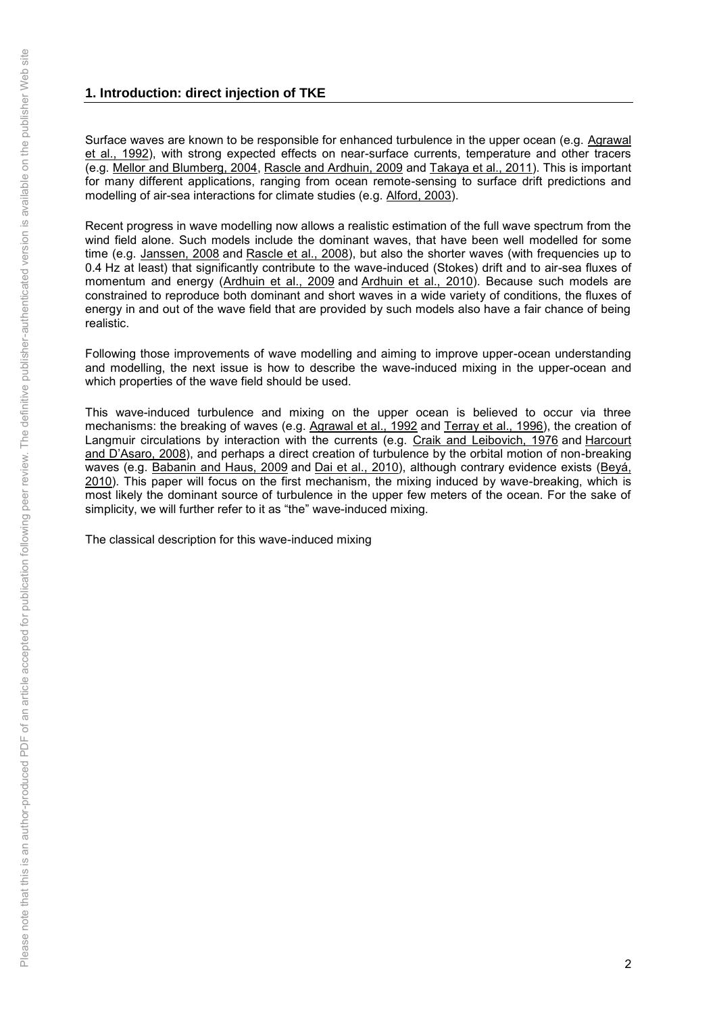Surface waves are known to be responsible for enhanced turbulence in the upper ocean (e.g. [Agrawal](http://www.sciencedirect.com/science/article/pii/S1463500312001187#b0005)  [et al., 1992\)](http://www.sciencedirect.com/science/article/pii/S1463500312001187#b0005), with strong expected effects on near-surface currents, temperature and other tracers (e.g. [Mellor and Blumberg, 2004,](http://www.sciencedirect.com/science/article/pii/S1463500312001187#b0170) [Rascle and Ardhuin, 2009](http://www.sciencedirect.com/science/article/pii/S1463500312001187#b0215) and [Takaya et al., 2011\)](http://www.sciencedirect.com/science/article/pii/S1463500312001187#b0255). This is important for many different applications, ranging from ocean remote-sensing to surface drift predictions and modelling of air-sea interactions for climate studies (e.g. [Alford, 2003\)](http://www.sciencedirect.com/science/article/pii/S1463500312001187#b0010).

Recent progress in wave modelling now allows a realistic estimation of the full wave spectrum from the wind field alone. Such models include the dominant waves, that have been well modelled for some time (e.g. [Janssen, 2008](http://www.sciencedirect.com/science/article/pii/S1463500312001187#b0125) and [Rascle et al., 2008\)](http://www.sciencedirect.com/science/article/pii/S1463500312001187#b0220), but also the shorter waves (with frequencies up to 0.4 Hz at least) that significantly contribute to the wave-induced (Stokes) drift and to air-sea fluxes of momentum and energy [\(Ardhuin et al., 2009](http://www.sciencedirect.com/science/article/pii/S1463500312001187#b0030) and [Ardhuin et al., 2010\)](http://www.sciencedirect.com/science/article/pii/S1463500312001187#b0040). Because such models are constrained to reproduce both dominant and short waves in a wide variety of conditions, the fluxes of energy in and out of the wave field that are provided by such models also have a fair chance of being realistic.

Following those improvements of wave modelling and aiming to improve upper-ocean understanding and modelling, the next issue is how to describe the wave-induced mixing in the upper-ocean and which properties of the wave field should be used.

This wave-induced turbulence and mixing on the upper ocean is believed to occur via three mechanisms: the breaking of waves (e.g. [Agrawal et al., 1992](http://www.sciencedirect.com/science/article/pii/S1463500312001187#b0005) and [Terray et al., 1996\)](http://www.sciencedirect.com/science/article/pii/S1463500312001187#b0265), the creation of Langmuir circulations by interaction with the currents (e.g. [Craik and Leibovich, 1976](http://www.sciencedirect.com/science/article/pii/S1463500312001187#b0070) and [Harcourt](http://www.sciencedirect.com/science/article/pii/S1463500312001187#b0120)  [and D'Asaro, 2008\)](http://www.sciencedirect.com/science/article/pii/S1463500312001187#b0120), and perhaps a direct creation of turbulence by the orbital motion of non-breaking waves (e.g. [Babanin and Haus, 2009](http://www.sciencedirect.com/science/article/pii/S1463500312001187#b0045) and [Dai et al., 2010\)](http://www.sciencedirect.com/science/article/pii/S1463500312001187#b0075), although contrary evidence exists (Beyá, [2010\)](http://www.sciencedirect.com/science/article/pii/S1463500312001187#b0060). This paper will focus on the first mechanism, the mixing induced by wave-breaking, which is most likely the dominant source of turbulence in the upper few meters of the ocean. For the sake of simplicity, we will further refer to it as "the" wave-induced mixing.

The classical description for this wave-induced mixing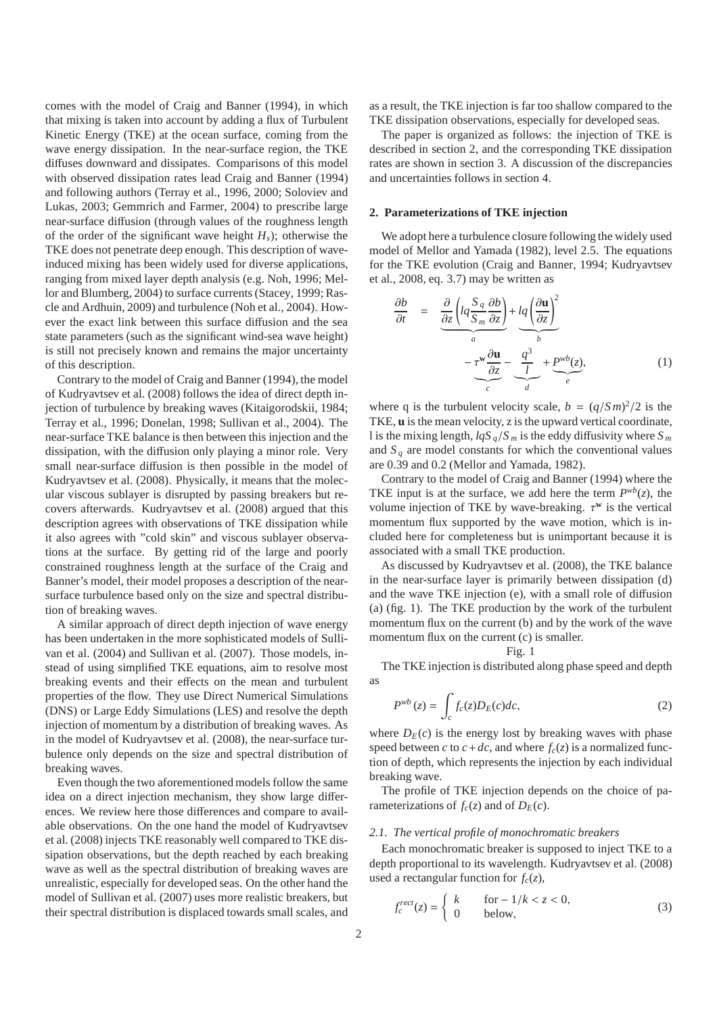comes with the model of Craig and Banner (1994), in which that mixing is taken into account by adding a flux of Turbulent Kinetic Energy (TKE) at the ocean surface, coming from the wave energy dissipation. In the near-surface region, the TKE diffuses downward and dissipates. Comparisons of this model with observed dissipation rates lead Craig and Banner (1994) and following authors (Terray et al., 1996, 2000; Soloviev and Lukas, 2003; Gemmrich and Farmer, 2004) to prescribe large near-surface diffusion (through values of the roughness length of the order of the significant wave height  $H<sub>s</sub>$ ); otherwise the TKE does not penetrate deep enough. This description of waveinduced mixing has been widely used for diverse applications, ranging from mixed layer depth analysis (e.g. Noh, 1996; Mellor and Blumberg, 2004) to surface currents (Stacey, 1999; Rascle and Ardhuin, 2009) and turbulence (Noh et al., 2004). However the exact link between this surface diffusion and the sea state parameters (such as the significant wind-sea wave height) is still not precisely known and remains the major uncertainty of this description.

Contrary to the model of Craig and Banner (1994), the model of Kudryavtsev et al. (2008) follows the idea of direct depth injection of turbulence by breaking waves (Kitaigorodskii, 1984; Terray et al., 1996; Donelan, 1998; Sullivan et al., 2004). The near-surface TKE balance is then between this injection and the dissipation, with the diffusion only playing a minor role. Very small near-surface diffusion is then possible in the model of Kudryavtsev et al. (2008). Physically, it means that the molecular viscous sublayer is disrupted by passing breakers but recovers afterwards. Kudryavtsev et al. (2008) argued that this description agrees with observations of TKE dissipation while it also agrees with "cold skin" and viscous sublayer observations at the surface. By getting rid of the large and poorly constrained roughness length at the surface of the Craig and Banner's model, their model proposes a description of the nearsurface turbulence based only on the size and spectral distribution of breaking waves.

A similar approach of direct depth injection of wave energy has been undertaken in the more sophisticated models of Sullivan et al. (2004) and Sullivan et al. (2007). Those models, instead of using simplified TKE equations, aim to resolve most breaking events and their effects on the mean and turbulent properties of the flow. They use Direct Numerical Simulations (DNS) or Large Eddy Simulations (LES) and resolve the depth injection of momentum by a distribution of breaking waves. As in the model of Kudryavtsev et al. (2008), the near-surface turbulence only depends on the size and spectral distribution of breaking waves.

Even though the two aforementioned models follow the same idea on a direct injection mechanism, they show large differences. We review here those differences and compare to available observations. On the one hand the model of Kudryavtsev et al. (2008) injects TKE reasonably well compared to TKE dissipation observations, but the depth reached by each breaking wave as well as the spectral distribution of breaking waves are unrealistic, especially for developed seas. On the other hand the model of Sullivan et al. (2007) uses more realistic breakers, but their spectral distribution is displaced towards small scales, and

as a result, the TKE injection is far too shallow compared to the TKE dissipation observations, especially for developed seas.

The paper is organized as follows: the injection of TKE is described in section 2, and the corresponding TKE dissipation rates are shown in section 3. A discussion of the discrepancies and uncertainties follows in section 4.

#### **2. Parameterizations of TKE injection**

We adopt here a turbulence closure following the widely used model of Mellor and Yamada (1982), level 2.5. The equations for the TKE evolution (Craig and Banner, 1994; Kudryavtsev et al., 2008, eq. 3.7) may be written as

$$
\frac{\partial b}{\partial t} = \underbrace{\frac{\partial}{\partial z} \left( l q \frac{S_q}{S_m} \frac{\partial b}{\partial z} \right)}_{a} + \underbrace{l q \left( \frac{\partial \mathbf{u}}{\partial z} \right)^2}_{b}
$$
\n
$$
- \underbrace{\tau^{\mathbf{w}} \frac{\partial \mathbf{u}}{\partial z}}_{c} - \underbrace{\frac{q^3}{l}}_{d} + \underbrace{P^{\mathbf{w}b}(z)}_{e}, \tag{1}
$$

where q is the turbulent velocity scale,  $b = (q/Sm)^2/2$  is the TKE, **u** is the mean velocity, z is the upward vertical coordinate, l is the mixing length,  $l qS_q/S_m$  is the eddy diffusivity where  $S_m$ and  $S_q$  are model constants for which the conventional values are 0.39 and 0.2 (Mellor and Yamada, 1982).

Contrary to the model of Craig and Banner (1994) where the TKE input is at the surface, we add here the term  $P^{wb}(z)$ , the volume injection of TKE by wave-breaking.  $\tau^w$  is the vertical momentum flux supported by the wave motion, which is included here for completeness but is unimportant because it is associated with a small TKE production.

As discussed by Kudryavtsev et al. (2008), the TKE balance in the near-surface layer is primarily between dissipation (d) and the wave TKE injection (e), with a small role of diffusion (a) (fig. 1). The TKE production by the work of the turbulent momentum flux on the current (b) and by the work of the wave momentum flux on the current (c) is smaller.

## Fig. 1

The TKE injection is distributed along phase speed and depth as

$$
P^{wb}(z) = \int_{c} f_c(z) D_E(c) dc,
$$
\n(2)

where  $D_F(c)$  is the energy lost by breaking waves with phase speed between *c* to  $c + dc$ , and where  $f_c(z)$  is a normalized function of depth, which represents the injection by each individual breaking wave.

The profile of TKE injection depends on the choice of parameterizations of  $f_c(z)$  and of  $D_E(c)$ .

## *2.1. The vertical profile of monochromatic breakers*

Each monochromatic breaker is supposed to inject TKE to a depth proportional to its wavelength. Kudryavtsev et al. (2008) used a rectangular function for  $f_c(z)$ ,

$$
f_c^{rect}(z) = \begin{cases} k & \text{for } -1/k < z < 0, \\ 0 & \text{below,} \end{cases}
$$
 (3)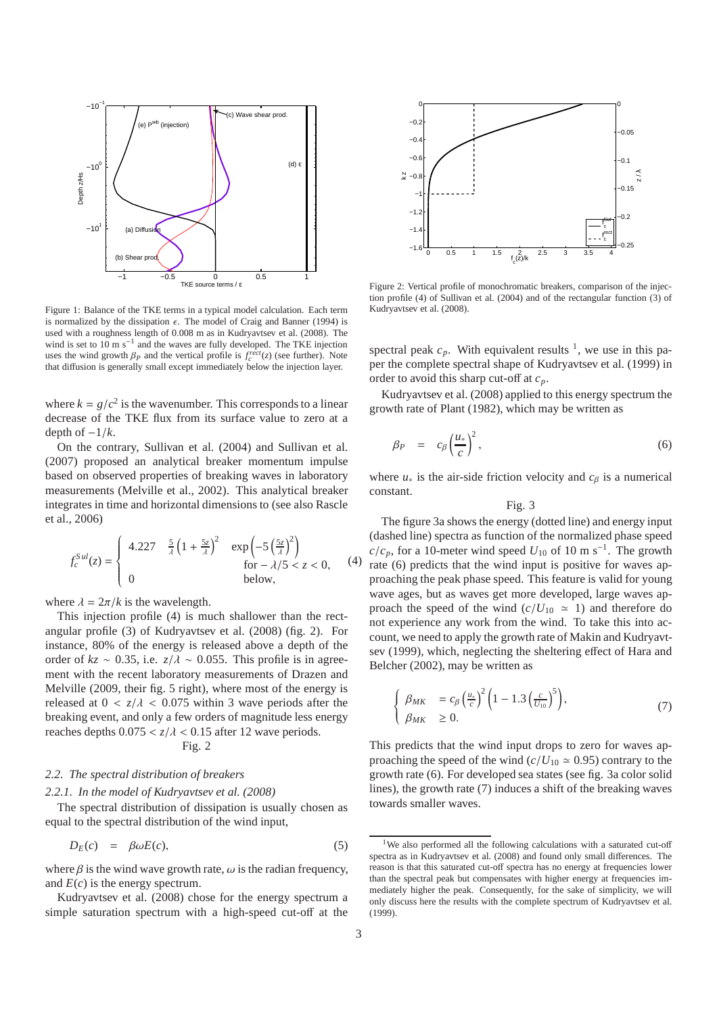

Figure 1: Balance of the TKE terms in a typical model calculation. Each term is normalized by the dissipation  $\epsilon$ . The model of Craig and Banner (1994) is used with a roughness length of 0.008 m as in Kudryavtsev et al. (2008). The wind is set to  $10 \text{ m s}^{-1}$  and the waves are fully developed. The TKE injection uses the wind growth  $\beta_P$  and the vertical profile is  $f_c^{rect}(z)$  (see further). Note that diffusion is generally small except immediately below the injection layer.

where  $k = g/c^2$  is the wavenumber. This corresponds to a linear decrease of the TKE flux from its surface value to zero at a depth of  $-1/k$ .

On the contrary, Sullivan et al. (2004) and Sullivan et al. (2007) proposed an analytical breaker momentum impulse based on observed properties of breaking waves in laboratory measurements (Melville et al., 2002). This analytical breaker integrates in time and horizontal dimensions to (see also Rascle et al., 2006)

$$
f_c^{Sul}(z) = \begin{cases} 4.227 & \frac{5}{\lambda} \left(1 + \frac{5z}{\lambda}\right)^2 & \exp\left(-5\left(\frac{5z}{\lambda}\right)^2\right) \\ & \text{for } -\lambda/5 < z < 0, \\ 0 & \text{below,} \end{cases}
$$
 (4)

where  $\lambda = 2\pi/k$  is the wavelength.

This injection profile (4) is much shallower than the rectangular profile (3) of Kudryavtsev et al. (2008) (fig. 2). For instance, 80% of the energy is released above a depth of the order of  $kz \sim 0.35$ , i.e.  $z/\lambda \sim 0.055$ . This profile is in agreement with the recent laboratory measurements of Drazen and Melville (2009, their fig. 5 right), where most of the energy is released at  $0 < z/\lambda < 0.075$  within 3 wave periods after the breaking event, and only a few orders of magnitude less energy reaches depths  $0.075 < z/\lambda < 0.15$  after 12 wave periods. Fig. 2

#### *2.2. The spectral distribution of breakers*

#### *2.2.1. In the model of Kudryavtsev et al. (2008)*

The spectral distribution of dissipation is usually chosen as equal to the spectral distribution of the wind input,

$$
D_E(c) = \beta \omega E(c), \tag{5}
$$

where  $\beta$  is the wind wave growth rate,  $\omega$  is the radian frequency, and *E*(*c*) is the energy spectrum.

Kudryavtsev et al. (2008) chose for the energy spectrum a simple saturation spectrum with a high-speed cut-off at the



Figure 2: Vertical profile of monochromatic breakers, comparison of the injection profile (4) of Sullivan et al. (2004) and of the rectangular function (3) of Kudryavtsev et al. (2008).

spectral peak  $c_p$ . With equivalent results <sup>1</sup>, we use in this paper the complete spectral shape of Kudryavtsev et al. (1999) in order to avoid this sharp cut-off at *cp*.

Kudryavtsev et al. (2008) applied to this energy spectrum the growth rate of Plant (1982), which may be written as

$$
\beta_P = c_\beta \left(\frac{u_*}{c}\right)^2, \tag{6}
$$

where  $u_*$  is the air-side friction velocity and  $c_\beta$  is a numerical constant.

Fig. 3

The figure 3a shows the energy (dotted line) and energy input (dashed line) spectra as function of the normalized phase speed  $c/c_p$ , for a 10-meter wind speed  $U_{10}$  of 10 m s<sup>-1</sup>. The growth rate (6) predicts that the wind input is positive for waves approaching the peak phase speed. This feature is valid for young wave ages, but as waves get more developed, large waves approach the speed of the wind  $(c/U_{10} \approx 1)$  and therefore do not experience any work from the wind. To take this into account, we need to apply the growth rate of Makin and Kudryavtsev (1999), which, neglecting the sheltering effect of Hara and Belcher (2002), may be written as

$$
\begin{cases} \beta_{MK} &= c_{\beta} \left(\frac{u_{e}}{c}\right)^{2} \left(1 - 1.3 \left(\frac{c}{U_{10}}\right)^{5}\right), \\ \beta_{MK} & \geq 0. \end{cases}
$$
(7)

This predicts that the wind input drops to zero for waves approaching the speed of the wind ( $c/U_{10} \approx 0.95$ ) contrary to the growth rate (6). For developed sea states (see fig. 3a color solid lines), the growth rate (7) induces a shift of the breaking waves towards smaller waves.

<sup>&</sup>lt;sup>1</sup>We also performed all the following calculations with a saturated cut-off spectra as in Kudryavtsev et al. (2008) and found only small differences. The reason is that this saturated cut-off spectra has no energy at frequencies lower than the spectral peak but compensates with higher energy at frequencies immediately higher the peak. Consequently, for the sake of simplicity, we will only discuss here the results with the complete spectrum of Kudryavtsev et al. (1999).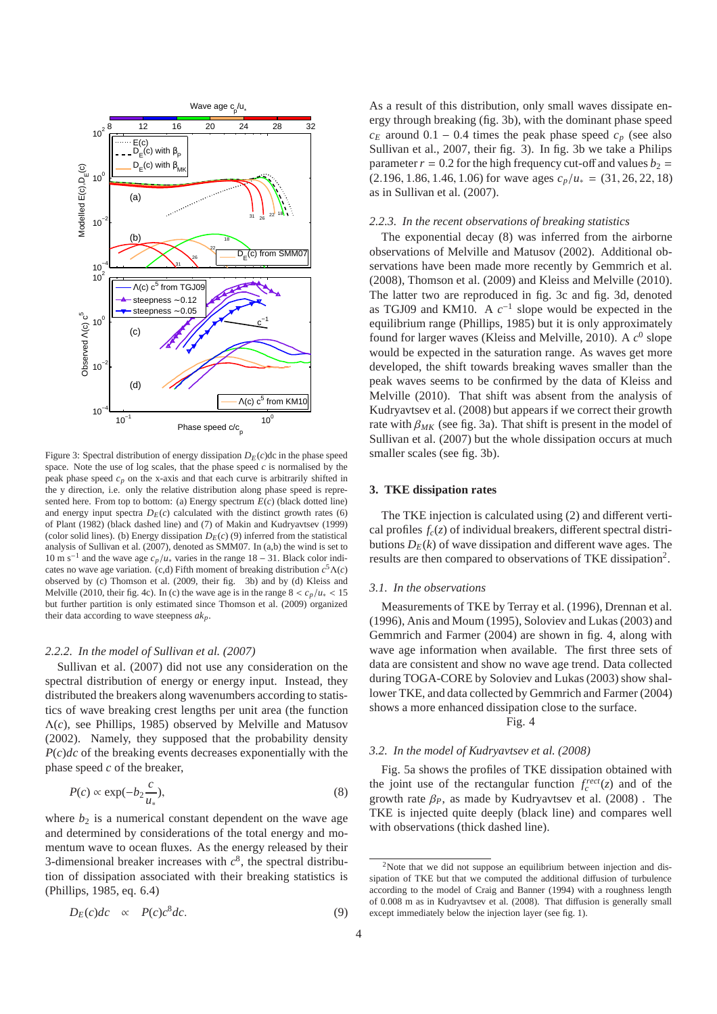

Figure 3: Spectral distribution of energy dissipation  $D_E(c)$  dc in the phase speed space. Note the use of log scales, that the phase speed *c* is normalised by the peak phase speed *c<sup>p</sup>* on the x-axis and that each curve is arbitrarily shifted in the y direction, i.e. only the relative distribution along phase speed is represented here. From top to bottom: (a) Energy spectrum *E*(*c*) (black dotted line) and energy input spectra  $D_E(c)$  calculated with the distinct growth rates (6) of Plant (1982) (black dashed line) and (7) of Makin and Kudryavtsev (1999) (color solid lines). (b) Energy dissipation  $D_E(c)$  (9) inferred from the statistical analysis of Sullivan et al. (2007), denoted as SMM07. In (a,b) the wind is set to 10 m s<sup>-1</sup> and the wave age  $c_p/u_*$  varies in the range 18 − 31. Black color indicates no wave age variation. (c,d) Fifth moment of breaking distribution *c* <sup>5</sup>Λ(*c*) observed by (c) Thomson et al. (2009, their fig. 3b) and by (d) Kleiss and Melville (2010, their fig. 4c). In (c) the wave age is in the range  $8 < c_p/u_* < 15$ but further partition is only estimated since Thomson et al. (2009) organized their data according to wave steepness *akp*.

## *2.2.2. In the model of Sullivan et al. (2007)*

Sullivan et al. (2007) did not use any consideration on the spectral distribution of energy or energy input. Instead, they distributed the breakers along wavenumbers according to statistics of wave breaking crest lengths per unit area (the function Λ(*c*), see Phillips, 1985) observed by Melville and Matusov (2002). Namely, they supposed that the probability density *P*(*c*)*dc* of the breaking events decreases exponentially with the phase speed *c* of the breaker,

$$
P(c) \propto \exp(-b_2 \frac{c}{u_*}),\tag{8}
$$

where  $b_2$  is a numerical constant dependent on the wave age and determined by considerations of the total energy and momentum wave to ocean fluxes. As the energy released by their 3-dimensional breaker increases with  $c^8$ , the spectral distribution of dissipation associated with their breaking statistics is (Phillips, 1985, eq. 6.4)

$$
D_E(c)dc \quad \propto \quad P(c)c^8dc. \tag{9}
$$

As a result of this distribution, only small waves dissipate energy through breaking (fig. 3b), with the dominant phase speed  $c_E$  around 0.1 – 0.4 times the peak phase speed  $c_p$  (see also Sullivan et al., 2007, their fig. 3). In fig. 3b we take a Philips parameter  $r = 0.2$  for the high frequency cut-off and values  $b_2 =$  $(2.196, 1.86, 1.46, 1.06)$  for wave ages  $c_p/u_* = (31, 26, 22, 18)$ as in Sullivan et al. (2007).

#### *2.2.3. In the recent observations of breaking statistics*

The exponential decay (8) was inferred from the airborne observations of Melville and Matusov (2002). Additional observations have been made more recently by Gemmrich et al. (2008), Thomson et al. (2009) and Kleiss and Melville (2010). The latter two are reproduced in fig. 3c and fig. 3d, denoted as TGJ09 and KM10. A  $c^{-1}$  slope would be expected in the equilibrium range (Phillips, 1985) but it is only approximately found for larger waves (Kleiss and Melville, 2010). A  $c^0$  slope would be expected in the saturation range. As waves get more developed, the shift towards breaking waves smaller than the peak waves seems to be confirmed by the data of Kleiss and Melville (2010). That shift was absent from the analysis of Kudryavtsev et al. (2008) but appears if we correct their growth rate with  $\beta_{MK}$  (see fig. 3a). That shift is present in the model of Sullivan et al. (2007) but the whole dissipation occurs at much smaller scales (see fig. 3b).

#### **3. TKE dissipation rates**

The TKE injection is calculated using (2) and different vertical profiles  $f_c(z)$  of individual breakers, different spectral distributions  $D_E(k)$  of wave dissipation and different wave ages. The results are then compared to observations of TKE dissipation<sup>2</sup>.

## *3.1. In the observations*

Measurements of TKE by Terray et al. (1996), Drennan et al. (1996), Anis and Moum (1995), Soloviev and Lukas (2003) and Gemmrich and Farmer (2004) are shown in fig. 4, along with wave age information when available. The first three sets of data are consistent and show no wave age trend. Data collected during TOGA-CORE by Soloviev and Lukas (2003) show shallower TKE, and data collected by Gemmrich and Farmer (2004) shows a more enhanced dissipation close to the surface.

## Fig. 4

## *3.2. In the model of Kudryavtsev et al. (2008)*

Fig. 5a shows the profiles of TKE dissipation obtained with the joint use of the rectangular function  $f_c^{rect}(z)$  and of the growth rate  $\beta_P$ , as made by Kudryavtsev et al. (2008). The TKE is injected quite deeply (black line) and compares well with observations (thick dashed line).

<sup>&</sup>lt;sup>2</sup>Note that we did not suppose an equilibrium between injection and dissipation of TKE but that we computed the additional diffusion of turbulence according to the model of Craig and Banner (1994) with a roughness length of 0.008 m as in Kudryavtsev et al. (2008). That diffusion is generally small except immediately below the injection layer (see fig. 1).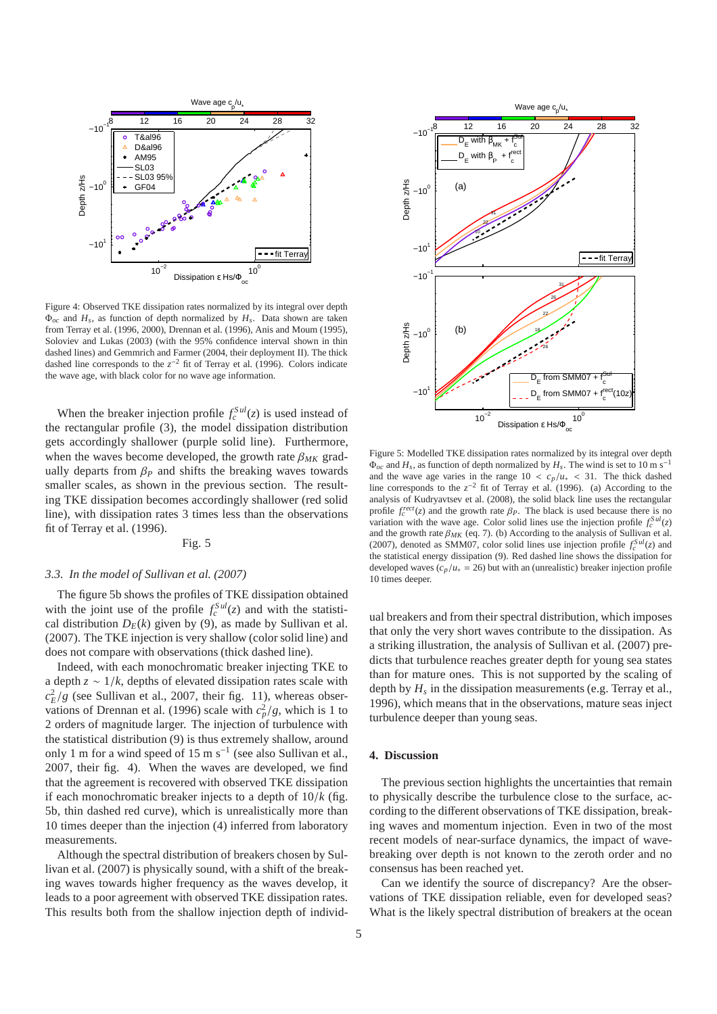

Figure 4: Observed TKE dissipation rates normalized by its integral over depth Φ*oc* and *H<sup>s</sup>* , as function of depth normalized by *H<sup>s</sup>* . Data shown are taken from Terray et al. (1996, 2000), Drennan et al. (1996), Anis and Moum (1995), Soloviev and Lukas (2003) (with the 95% confidence interval shown in thin dashed lines) and Gemmrich and Farmer (2004, their deployment II). The thick dashed line corresponds to the  $z^{-2}$  fit of Terray et al. (1996). Colors indicate the wave age, with black color for no wave age information.

When the breaker injection profile  $f_c^{Sul}(z)$  is used instead of the rectangular profile (3), the model dissipation distribution gets accordingly shallower (purple solid line). Furthermore, when the waves become developed, the growth rate  $\beta_{MK}$  gradually departs from  $\beta_P$  and shifts the breaking waves towards smaller scales, as shown in the previous section. The resulting TKE dissipation becomes accordingly shallower (red solid line), with dissipation rates 3 times less than the observations fit of Terray et al. (1996).

Fig. 5

### *3.3. In the model of Sullivan et al. (2007)*

The figure 5b shows the profiles of TKE dissipation obtained with the joint use of the profile  $f_c^{Sul}(z)$  and with the statistical distribution  $D_E(k)$  given by (9), as made by Sullivan et al. (2007). The TKE injection is very shallow (color solid line) and does not compare with observations (thick dashed line).

Indeed, with each monochromatic breaker injecting TKE to a depth *z* ∼ 1/*k*, depths of elevated dissipation rates scale with  $c_E^2/g$  (see Sullivan et al., 2007, their fig. 11), whereas observations of Drennan et al. (1996) scale with  $c_p^2/g$ , which is 1 to 2 orders of magnitude larger. The injection of turbulence with the statistical distribution (9) is thus extremely shallow, around only 1 m for a wind speed of 15 m s<sup>-1</sup> (see also Sullivan et al., 2007, their fig. 4). When the waves are developed, we find that the agreement is recovered with observed TKE dissipation if each monochromatic breaker injects to a depth of 10/*k* (fig. 5b, thin dashed red curve), which is unrealistically more than 10 times deeper than the injection (4) inferred from laboratory measurements.

Although the spectral distribution of breakers chosen by Sullivan et al. (2007) is physically sound, with a shift of the breaking waves towards higher frequency as the waves develop, it leads to a poor agreement with observed TKE dissipation rates. This results both from the shallow injection depth of individ-



Figure 5: Modelled TKE dissipation rates normalized by its integral over depth  $\Phi_{oc}$  and  $H_s$ , as function of depth normalized by  $H_s$ . The wind is set to 10 m s<sup>-1</sup> and the wave age varies in the range  $10 < c_p/u_* < 31$ . The thick dashed line corresponds to the  $z^{-2}$  fit of Terray et al. (1996). (a) According to the analysis of Kudryavtsev et al. (2008), the solid black line uses the rectangular profile  $f_c^{rect}(z)$  and the growth rate  $\beta_P$ . The black is used because there is no variation with the wave age. Color solid lines use the injection profile  $f_c^{Sul}(z)$ and the growth rate  $\beta_{MK}$  (eq. 7). (b) According to the analysis of Sullivan et al. (2007), denoted as SMM07, color solid lines use injection profile  $f_c^{Sul}(z)$  and the statistical energy dissipation (9). Red dashed line shows the dissipation for developed waves  $(c_p/u_* = 26)$  but with an (unrealistic) breaker injection profile 10 times deeper.

ual breakers and from their spectral distribution, which imposes that only the very short waves contribute to the dissipation. As a striking illustration, the analysis of Sullivan et al. (2007) predicts that turbulence reaches greater depth for young sea states than for mature ones. This is not supported by the scaling of depth by  $H_s$  in the dissipation measurements (e.g. Terray et al., 1996), which means that in the observations, mature seas inject turbulence deeper than young seas.

#### **4. Discussion**

The previous section highlights the uncertainties that remain to physically describe the turbulence close to the surface, according to the different observations of TKE dissipation, breaking waves and momentum injection. Even in two of the most recent models of near-surface dynamics, the impact of wavebreaking over depth is not known to the zeroth order and no consensus has been reached yet.

Can we identify the source of discrepancy? Are the observations of TKE dissipation reliable, even for developed seas? What is the likely spectral distribution of breakers at the ocean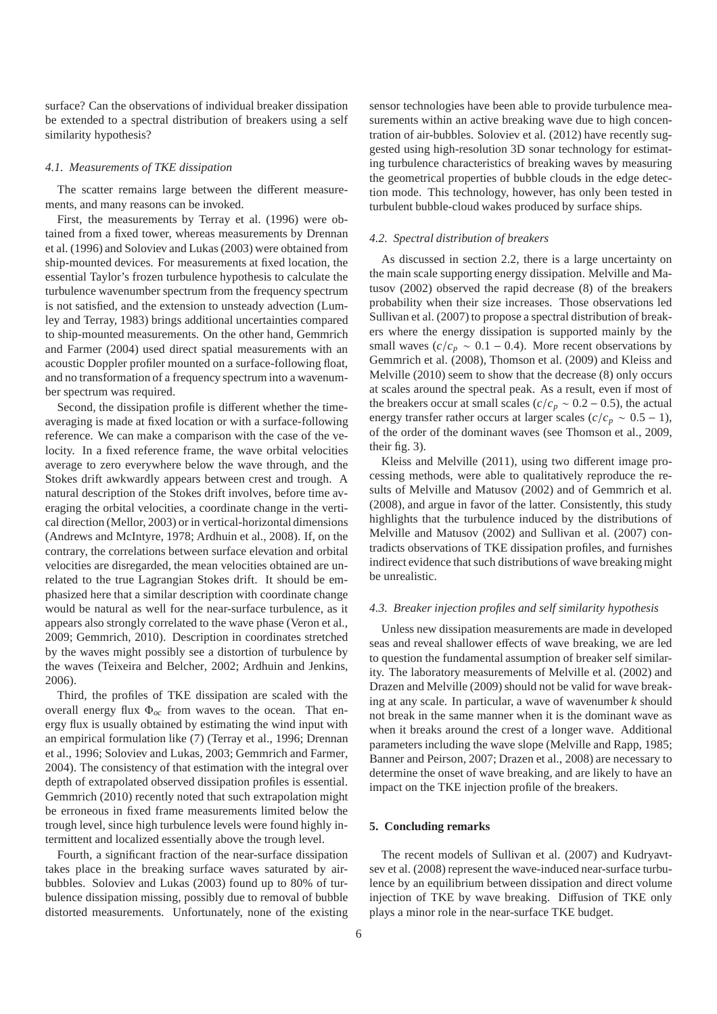surface? Can the observations of individual breaker dissipation be extended to a spectral distribution of breakers using a self similarity hypothesis?

### *4.1. Measurements of TKE dissipation*

The scatter remains large between the different measurements, and many reasons can be invoked.

First, the measurements by Terray et al. (1996) were obtained from a fixed tower, whereas measurements by Drennan et al. (1996) and Soloviev and Lukas (2003) were obtained from ship-mounted devices. For measurements at fixed location, the essential Taylor's frozen turbulence hypothesis to calculate the turbulence wavenumber spectrum from the frequency spectrum is not satisfied, and the extension to unsteady advection (Lumley and Terray, 1983) brings additional uncertainties compared to ship-mounted measurements. On the other hand, Gemmrich and Farmer (2004) used direct spatial measurements with an acoustic Doppler profiler mounted on a surface-following float, and no transformation of a frequency spectrum into a wavenumber spectrum was required.

Second, the dissipation profile is different whether the timeaveraging is made at fixed location or with a surface-following reference. We can make a comparison with the case of the velocity. In a fixed reference frame, the wave orbital velocities average to zero everywhere below the wave through, and the Stokes drift awkwardly appears between crest and trough. A natural description of the Stokes drift involves, before time averaging the orbital velocities, a coordinate change in the vertical direction (Mellor, 2003) or in vertical-horizontal dimensions (Andrews and McIntyre, 1978; Ardhuin et al., 2008). If, on the contrary, the correlations between surface elevation and orbital velocities are disregarded, the mean velocities obtained are unrelated to the true Lagrangian Stokes drift. It should be emphasized here that a similar description with coordinate change would be natural as well for the near-surface turbulence, as it appears also strongly correlated to the wave phase (Veron et al., 2009; Gemmrich, 2010). Description in coordinates stretched by the waves might possibly see a distortion of turbulence by the waves (Teixeira and Belcher, 2002; Ardhuin and Jenkins, 2006).

Third, the profiles of TKE dissipation are scaled with the overall energy flux Φ*oc* from waves to the ocean. That energy flux is usually obtained by estimating the wind input with an empirical formulation like (7) (Terray et al., 1996; Drennan et al., 1996; Soloviev and Lukas, 2003; Gemmrich and Farmer, 2004). The consistency of that estimation with the integral over depth of extrapolated observed dissipation profiles is essential. Gemmrich (2010) recently noted that such extrapolation might be erroneous in fixed frame measurements limited below the trough level, since high turbulence levels were found highly intermittent and localized essentially above the trough level.

Fourth, a significant fraction of the near-surface dissipation takes place in the breaking surface waves saturated by airbubbles. Soloviev and Lukas (2003) found up to 80% of turbulence dissipation missing, possibly due to removal of bubble distorted measurements. Unfortunately, none of the existing

sensor technologies have been able to provide turbulence measurements within an active breaking wave due to high concentration of air-bubbles. Soloviev et al. (2012) have recently suggested using high-resolution 3D sonar technology for estimating turbulence characteristics of breaking waves by measuring the geometrical properties of bubble clouds in the edge detection mode. This technology, however, has only been tested in turbulent bubble-cloud wakes produced by surface ships.

#### *4.2. Spectral distribution of breakers*

As discussed in section 2.2, there is a large uncertainty on the main scale supporting energy dissipation. Melville and Matusov (2002) observed the rapid decrease (8) of the breakers probability when their size increases. Those observations led Sullivan et al. (2007) to propose a spectral distribution of breakers where the energy dissipation is supported mainly by the small waves ( $c/c_p \sim 0.1 - 0.4$ ). More recent observations by Gemmrich et al. (2008), Thomson et al. (2009) and Kleiss and Melville (2010) seem to show that the decrease (8) only occurs at scales around the spectral peak. As a result, even if most of the breakers occur at small scales ( $c/c_p \sim 0.2 - 0.5$ ), the actual energy transfer rather occurs at larger scales  $(c/c_p \sim 0.5 - 1)$ , of the order of the dominant waves (see Thomson et al., 2009, their fig. 3).

Kleiss and Melville (2011), using two different image processing methods, were able to qualitatively reproduce the results of Melville and Matusov (2002) and of Gemmrich et al. (2008), and argue in favor of the latter. Consistently, this study highlights that the turbulence induced by the distributions of Melville and Matusov (2002) and Sullivan et al. (2007) contradicts observations of TKE dissipation profiles, and furnishes indirect evidence that such distributions of wave breaking might be unrealistic.

### *4.3. Breaker injection profiles and self similarity hypothesis*

Unless new dissipation measurements are made in developed seas and reveal shallower effects of wave breaking, we are led to question the fundamental assumption of breaker self similarity. The laboratory measurements of Melville et al. (2002) and Drazen and Melville (2009) should not be valid for wave breaking at any scale. In particular, a wave of wavenumber *k* should not break in the same manner when it is the dominant wave as when it breaks around the crest of a longer wave. Additional parameters including the wave slope (Melville and Rapp, 1985; Banner and Peirson, 2007; Drazen et al., 2008) are necessary to determine the onset of wave breaking, and are likely to have an impact on the TKE injection profile of the breakers.

## **5. Concluding remarks**

The recent models of Sullivan et al. (2007) and Kudryavtsev et al. (2008) represent the wave-induced near-surface turbulence by an equilibrium between dissipation and direct volume injection of TKE by wave breaking. Diffusion of TKE only plays a minor role in the near-surface TKE budget.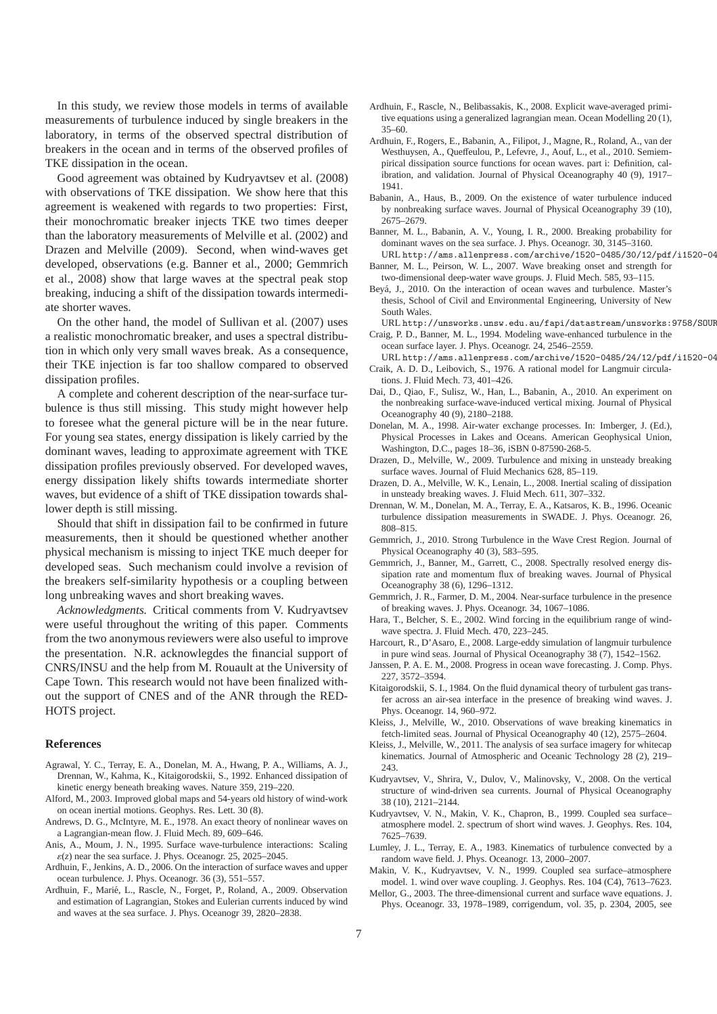In this study, we review those models in terms of available measurements of turbulence induced by single breakers in the laboratory, in terms of the observed spectral distribution of breakers in the ocean and in terms of the observed profiles of TKE dissipation in the ocean.

Good agreement was obtained by Kudryavtsev et al. (2008) with observations of TKE dissipation. We show here that this agreement is weakened with regards to two properties: First, their monochromatic breaker injects TKE two times deeper than the laboratory measurements of Melville et al. (2002) and Drazen and Melville (2009). Second, when wind-waves get developed, observations (e.g. Banner et al., 2000; Gemmrich et al., 2008) show that large waves at the spectral peak stop breaking, inducing a shift of the dissipation towards intermediate shorter waves.

On the other hand, the model of Sullivan et al. (2007) uses a realistic monochromatic breaker, and uses a spectral distribution in which only very small waves break. As a consequence, their TKE injection is far too shallow compared to observed dissipation profiles.

A complete and coherent description of the near-surface turbulence is thus still missing. This study might however help to foresee what the general picture will be in the near future. For young sea states, energy dissipation is likely carried by the dominant waves, leading to approximate agreement with TKE dissipation profiles previously observed. For developed waves, energy dissipation likely shifts towards intermediate shorter waves, but evidence of a shift of TKE dissipation towards shallower depth is still missing.

Should that shift in dissipation fail to be confirmed in future measurements, then it should be questioned whether another physical mechanism is missing to inject TKE much deeper for developed seas. Such mechanism could involve a revision of the breakers self-similarity hypothesis or a coupling between long unbreaking waves and short breaking waves.

*Acknowledgments.* Critical comments from V. Kudryavtsev were useful throughout the writing of this paper. Comments from the two anonymous reviewers were also useful to improve the presentation. N.R. acknowlegdes the financial support of CNRS/INSU and the help from M. Rouault at the University of Cape Town. This research would not have been finalized without the support of CNES and of the ANR through the RED-HOTS project.

#### **References**

- Agrawal, Y. C., Terray, E. A., Donelan, M. A., Hwang, P. A., Williams, A. J., Drennan, W., Kahma, K., Kitaigorodskii, S., 1992. Enhanced dissipation of kinetic energy beneath breaking waves. Nature 359, 219–220.
- Alford, M., 2003. Improved global maps and 54-years old history of wind-work on ocean inertial motions. Geophys. Res. Lett. 30 (8).
- Andrews, D. G., McIntyre, M. E., 1978. An exact theory of nonlinear waves on a Lagrangian-mean flow. J. Fluid Mech. 89, 609–646.
- Anis, A., Moum, J. N., 1995. Surface wave-turbulence interactions: Scaling  $\varepsilon(z)$  near the sea surface. J. Phys. Oceanogr. 25, 2025–2045.
- Ardhuin, F., Jenkins, A. D., 2006. On the interaction of surface waves and upper ocean turbulence. J. Phys. Oceanogr. 36 (3), 551–557.
- Ardhuin, F., Marié, L., Rascle, N., Forget, P., Roland, A., 2009. Observation and estimation of Lagrangian, Stokes and Eulerian currents induced by wind and waves at the sea surface. J. Phys. Oceanogr 39, 2820–2838.
- Ardhuin, F., Rascle, N., Belibassakis, K., 2008. Explicit wave-averaged primitive equations using a generalized lagrangian mean. Ocean Modelling 20 (1), 35–60.
- Ardhuin, F., Rogers, E., Babanin, A., Filipot, J., Magne, R., Roland, A., van der Westhuysen, A., Queffeulou, P., Lefevre, J., Aouf, L., et al., 2010. Semiempirical dissipation source functions for ocean waves. part i: Definition, calibration, and validation. Journal of Physical Oceanography 40 (9), 1917– 1941.
- Babanin, A., Haus, B., 2009. On the existence of water turbulence induced by nonbreaking surface waves. Journal of Physical Oceanography 39 (10), 2675–2679.
- Banner, M. L., Babanin, A. V., Young, I. R., 2000. Breaking probability for dominant waves on the sea surface. J. Phys. Oceanogr. 30, 3145–3160.
- URL http://ams.allenpress.com/archive/1520-0485/30/12/pdf/i1520-0485 Banner, M. L., Peirson, W. L., 2007. Wave breaking onset and strength for
- two-dimensional deep-water wave groups. J. Fluid Mech. 585, 93–115. Beyá, J., 2010. On the interaction of ocean waves and turbulence. Master's thesis, School of Civil and Environmental Engineering, University of New South Wales.

URL http://unsworks.unsw.edu.au/fapi/datastream/unsworks:9758/SOUF Craig, P. D., Banner, M. L., 1994. Modeling wave-enhanced turbulence in the

- ocean surface layer. J. Phys. Oceanogr. 24, 2546–2559. URL http://ams.allenpress.com/archive/1520-0485/24/12/pdf/i1520-0485
- Craik, A. D. D., Leibovich, S., 1976. A rational model for Langmuir circulations. J. Fluid Mech. 73, 401–426.
- Dai, D., Qiao, F., Sulisz, W., Han, L., Babanin, A., 2010. An experiment on the nonbreaking surface-wave-induced vertical mixing. Journal of Physical Oceanography 40 (9), 2180–2188.
- Donelan, M. A., 1998. Air-water exchange processes. In: Imberger, J. (Ed.), Physical Processes in Lakes and Oceans. American Geophysical Union, Washington, D.C., pages 18–36, iSBN 0-87590-268-5.
- Drazen, D., Melville, W., 2009. Turbulence and mixing in unsteady breaking surface waves. Journal of Fluid Mechanics 628, 85–119.
- Drazen, D. A., Melville, W. K., Lenain, L., 2008. Inertial scaling of dissipation in unsteady breaking waves. J. Fluid Mech. 611, 307–332.
- Drennan, W. M., Donelan, M. A., Terray, E. A., Katsaros, K. B., 1996. Oceanic turbulence dissipation measurements in SWADE. J. Phys. Oceanogr. 26, 808–815.
- Gemmrich, J., 2010. Strong Turbulence in the Wave Crest Region. Journal of Physical Oceanography 40 (3), 583–595.
- Gemmrich, J., Banner, M., Garrett, C., 2008. Spectrally resolved energy dissipation rate and momentum flux of breaking waves. Journal of Physical Oceanography 38 (6), 1296–1312.
- Gemmrich, J. R., Farmer, D. M., 2004. Near-surface turbulence in the presence of breaking waves. J. Phys. Oceanogr. 34, 1067–1086.
- Hara, T., Belcher, S. E., 2002. Wind forcing in the equilibrium range of windwave spectra. J. Fluid Mech. 470, 223–245.
- Harcourt, R., D'Asaro, E., 2008. Large-eddy simulation of langmuir turbulence in pure wind seas. Journal of Physical Oceanography 38 (7), 1542–1562.

Janssen, P. A. E. M., 2008. Progress in ocean wave forecasting. J. Comp. Phys. 227, 3572–3594.

- Kitaigorodskii, S. I., 1984. On the fluid dynamical theory of turbulent gas transfer across an air-sea interface in the presence of breaking wind waves. J. Phys. Oceanogr. 14, 960–972.
- Kleiss, J., Melville, W., 2010. Observations of wave breaking kinematics in fetch-limited seas. Journal of Physical Oceanography 40 (12), 2575–2604.
- Kleiss, J., Melville, W., 2011. The analysis of sea surface imagery for whitecap kinematics. Journal of Atmospheric and Oceanic Technology 28 (2), 219– 243.
- Kudryavtsev, V., Shrira, V., Dulov, V., Malinovsky, V., 2008. On the vertical structure of wind-driven sea currents. Journal of Physical Oceanography 38 (10), 2121–2144.
- Kudryavtsev, V. N., Makin, V. K., Chapron, B., 1999. Coupled sea surface– atmosphere model. 2. spectrum of short wind waves. J. Geophys. Res. 104, 7625–7639.
- Lumley, J. L., Terray, E. A., 1983. Kinematics of turbulence convected by a random wave field. J. Phys. Oceanogr. 13, 2000–2007.
- Makin, V. K., Kudryavtsev, V. N., 1999. Coupled sea surface–atmosphere model. 1. wind over wave coupling. J. Geophys. Res. 104 (C4), 7613–7623.
- Mellor, G., 2003. The three-dimensional current and surface wave equations. J. Phys. Oceanogr. 33, 1978–1989, corrigendum, vol. 35, p. 2304, 2005, see